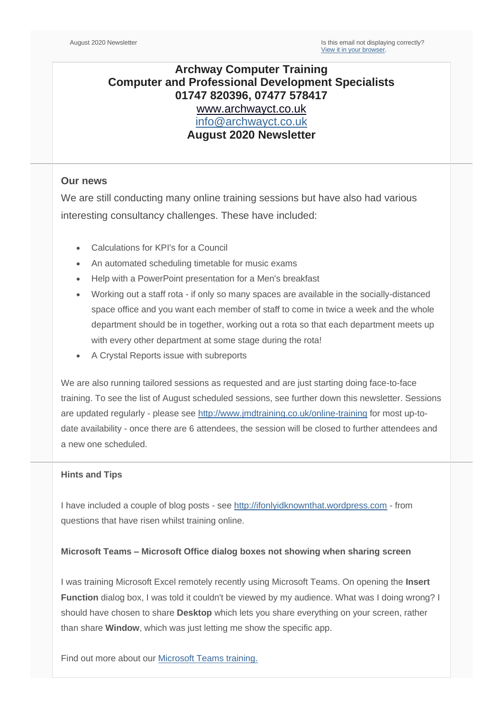## **Archway Computer Training Computer and Professional Development Specialists 01747 820396, 07477 578417** [www.archwayct.co.uk](http://www.archwayct.co.uk/) [info@archwayct.co.uk](mailto:%20info@archwayct.co.uk) **August 2020 Newsletter**

## **Our news**

We are still conducting many online training sessions but have also had various interesting consultancy challenges. These have included:

- Calculations for KPI's for a Council
- An automated scheduling timetable for music exams
- Help with a PowerPoint presentation for a Men's breakfast
- Working out a staff rota if only so many spaces are available in the socially-distanced space office and you want each member of staff to come in twice a week and the whole department should be in together, working out a rota so that each department meets up with every other department at some stage during the rota!
- A Crystal Reports issue with subreports

We are also running tailored sessions as requested and are just starting doing face-to-face training. To see the list of August scheduled sessions, see further down this newsletter. Sessions are updated regularly - please see [http://www.jmdtraining.co.uk/online-training](http://www.archwayct.co.uk/online-training) for most up-todate availability - once there are 6 attendees, the session will be closed to further attendees and a new one scheduled.

#### **Hints and Tips**

I have included a couple of blog posts - see [http://ifonlyidknownthat.wordpress.com](http://ifonlyidknownthat.wordpress.com/) - from questions that have risen whilst training online.

#### **Microsoft Teams – Microsoft Office dialog boxes not showing when sharing screen**

I was training Microsoft Excel remotely recently using Microsoft Teams. On opening the **Insert Function** dialog box, I was told it couldn't be viewed by my audience. What was I doing wrong? I should have chosen to share **Desktop** which lets you share everything on your screen, rather than share **Window**, which was just letting me show the specific app.

Find out more about our [Microsoft Teams training](http://www.jmdtraining.co.uk/microsoft-office-training/microsoft-teams-training)[.](http://www.archwayct.co.uk/microsoft-office-training/microsoft-teams-training)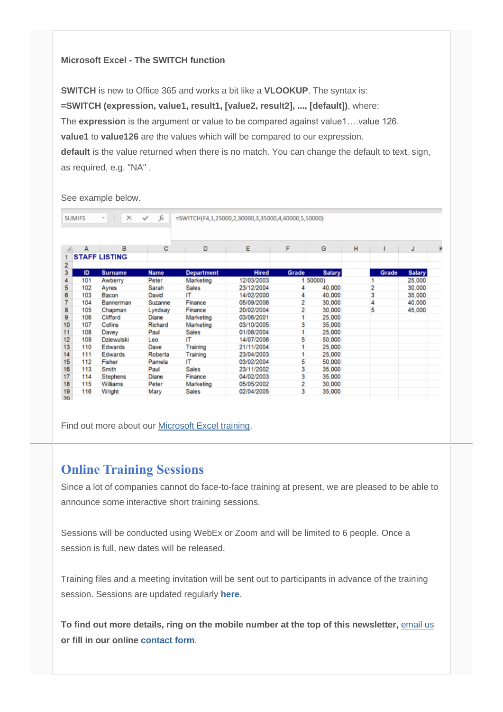#### **Microsoft Excel - The SWITCH function**

**SWITCH** is new to Office 365 and works a bit like a **VLOOKUP**. The syntax is: **=SWITCH (expression, value1, result1, [value2, result2], ..., [default])**, where: The **expression** is the argument or value to be compared against value1...value 126. **value1** to **value126** are the values which will be compared to our expression. **default** is the value returned when there is no match. You can change the default to text, sign, as required, e.g. "NA" .

See example below.

|     | <b>SUMIFS</b> | $\oplus$<br>٠        | $\times$ $\checkmark$ fx | =SWITCH(F4,1,25000,2,30000,3,35000,4,40000,5,50000) |              |       |               |   |       |               |             |
|-----|---------------|----------------------|--------------------------|-----------------------------------------------------|--------------|-------|---------------|---|-------|---------------|-------------|
|     |               |                      |                          |                                                     |              |       |               |   |       |               |             |
|     | A             | B                    | с                        | D                                                   | E            | F     | G             | н |       | J             | $\mathbf k$ |
|     |               | <b>STAFF LISTING</b> |                          |                                                     |              |       |               |   |       |               |             |
| 2   |               |                      |                          |                                                     |              |       |               |   |       |               |             |
| 3   | ID            | <b>Surname</b>       | <b>Name</b>              | <b>Department</b>                                   | <b>Hired</b> | Grade | <b>Salary</b> |   | Grade | <b>Salary</b> |             |
|     | 101           | Awberry              | Peter                    | Marketing                                           | 12/03/2003   |       | 1 50000)      |   |       | 25,000        |             |
| 5   | 102           | Ayres                | Sarah                    | Sales                                               | 23/12/2004   | 4     | 40,000        |   | 2     | 30,000        |             |
| 6   | 103           | Bacon                | David                    | IT                                                  | 14/02/2000   | 4     | 40,000        |   | 3     | 35,000        |             |
| 7   | 104           | Bannerman            | Suzanne                  | Finance                                             | 05/09/2006   | 2     | 30,000        |   | 4     | 40,000        |             |
| 8   | 105           | Chapman              | Lyndsay                  | Finance                                             | 20/02/2004   | 2     | 30,000        |   | 5     | 45,000        |             |
| 9   | 106           | Clifford             | Diane                    | Marketing                                           | 03/06/2001   |       | 25,000        |   |       |               |             |
| 10  | 107           | Collins              | Richard                  | Marketing                                           | 03/10/2005   | 3     | 35,000        |   |       |               |             |
| 11  | 108           | Davey                | Paul                     | <b>Sales</b>                                        | 01/08/2004   |       | 25,000        |   |       |               |             |
| 12  | 109           | Dziewulski           | Leo                      | IΤ                                                  | 14/07/2006   | 5     | 50,000        |   |       |               |             |
| 13  | 110           | Edwards              | Dave                     | Training                                            | 21/11/2004   |       | 25,000        |   |       |               |             |
| 14  | 111           | Edwards              | Roberta                  | Training                                            | 23/04/2003   |       | 25,000        |   |       |               |             |
| 15  | 112           | Fisher               | Pamela                   | IΤ                                                  | 03/02/2004   | 5     | 50,000        |   |       |               |             |
| 16  | 113           | Smith                | Paul                     | Sales                                               | 23/11/2002   | 3     | 35,000        |   |       |               |             |
| 17  | 114           | Stephens             | Diane                    | Finance                                             | 04/02/2003   | 3     | 35,000        |   |       |               |             |
| 18  | 115           | Williams             | Peter                    | Marketing                                           | 05/05/2002   | 2     | 30,000        |   |       |               |             |
| 19  | 116           | Wright               | Mary                     | Sales                                               | 02/04/2005   | 3     | 35,000        |   |       |               |             |
| 20. |               |                      |                          |                                                     |              |       |               |   |       |               |             |

Find out more about our [Microsoft Excel training.](http://www.archwayct.co.uk/microsoft-office-training/microsoft-excel-training)

# **Online Training Sessions**

Since a lot of companies cannot do face-to-face training at present, we are pleased to be able to announce some interactive short training sessions.

Sessions will be conducted using WebEx or Zoom and will be limited to 6 people. Once a session is full, new dates will be released.

Training files and a meeting invitation will be sent out to participants in advance of the training session. Sessions are updated regularly **[here](http://www.archwayct.co.uk/online-training)**.

**To find out more details, ring on the mobile number at the top of this newsletter,** [email us](mailto:janet@archwayct.co.uk?subject=Online%20computer%20training) **or fill in our online [contact form](http://www.archwayct.co.uk/contact)**.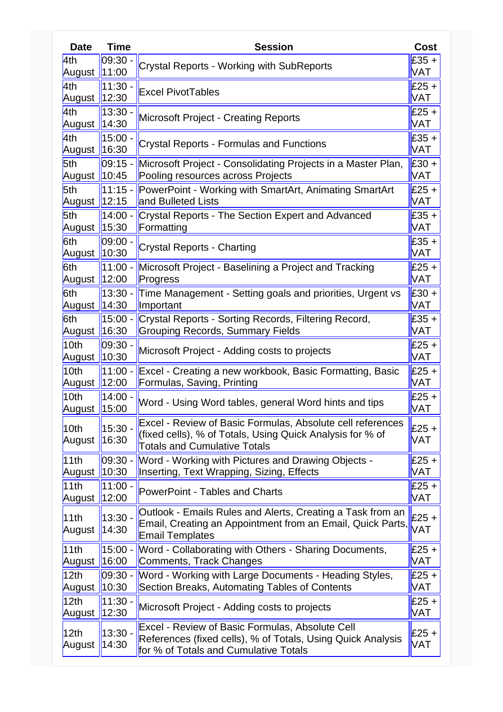| <b>Date</b>                | <b>Time</b>        | <b>Session</b>                                                                                                                | Cost                  |  |
|----------------------------|--------------------|-------------------------------------------------------------------------------------------------------------------------------|-----------------------|--|
| 4th                        | 09:30.             | <b>Crystal Reports - Working with SubReports</b>                                                                              |                       |  |
| August                     | $\ 11:00\ $        |                                                                                                                               |                       |  |
| 4th                        | $11:30 -$<br>12:30 | <b>Excel PivotTables</b>                                                                                                      | $£25 +$<br><b>VAT</b> |  |
| August  <br>4th            | $13:30 -$          |                                                                                                                               | $£25 +$               |  |
| August                     | 14:30              | <b>Microsoft Project - Creating Reports</b>                                                                                   | <b>VAT</b>            |  |
| 4th                        | $15:00 -$          |                                                                                                                               | $£35 +$               |  |
| August                     | 16:30              | <b>Crystal Reports - Formulas and Functions</b>                                                                               | <b>VAT</b>            |  |
| 5th                        | $ 09:15 -$         | Microsoft Project - Consolidating Projects in a Master Plan,                                                                  | $£30 +$               |  |
| August                     | 10:45              | Pooling resources across Projects                                                                                             | VAT<br>$£25 +$        |  |
| 5th                        | 11:15 -            | PowerPoint - Working with SmartArt, Animating SmartArt                                                                        |                       |  |
| August                     | $\ 12:15$          | and Bulleted Lists                                                                                                            |                       |  |
| 5th<br>August              | $14:00 -$<br>15:30 | Crystal Reports - The Section Expert and Advanced<br>Formatting                                                               |                       |  |
| 6th                        | 09:00              |                                                                                                                               | <b>VAT</b><br>$£35 +$ |  |
| August                     | 10:30              | <b>Crystal Reports - Charting</b>                                                                                             | <b>VAT</b>            |  |
| 6th                        | $11:00 -$          | Microsoft Project - Baselining a Project and Tracking                                                                         | $£25 +$               |  |
| August                     | $\ 12:00\ $        | Progress                                                                                                                      | <b>VAT</b>            |  |
| 6th                        | $13:30 -$          | Time Management - Setting goals and priorities, Urgent vs                                                                     | $£30 +$               |  |
| August                     | 14:30              | Important                                                                                                                     | VAT                   |  |
| 6th                        | $15:00 -$          | Crystal Reports - Sorting Records, Filtering Record,                                                                          | $£35 +$               |  |
| August                     | 16:30              | <b>Grouping Records, Summary Fields</b>                                                                                       | <b>VAT</b>            |  |
| 10th                       | 09:30 -            | Microsoft Project - Adding costs to projects                                                                                  | $£25 +$<br><b>VAT</b> |  |
| August<br>10th             | 10:30<br>$11:00 -$ | Excel - Creating a new workbook, Basic Formatting, Basic                                                                      |                       |  |
| August                     | 12:00              | Formulas, Saving, Printing                                                                                                    | $£25 +$<br><b>VAT</b> |  |
| 10th                       | 14:00.             |                                                                                                                               | £25 +                 |  |
| August                     | 15:00              | Word - Using Word tables, general Word hints and tips                                                                         | VAT                   |  |
| 10th                       | $15:30 -$          | Excel - Review of Basic Formulas, Absolute cell references                                                                    | $£25 +$               |  |
| August                     | 16:30              | (fixed cells), % of Totals, Using Quick Analysis for % of                                                                     |                       |  |
|                            |                    | <b>Totals and Cumulative Totals</b>                                                                                           |                       |  |
| 11th                       | $ 09:30 -$         | Word - Working with Pictures and Drawing Objects -                                                                            | $£25 +$<br><b>VAT</b> |  |
| August<br>11th             | 10:30<br>$11:00 -$ | Inserting, Text Wrapping, Sizing, Effects                                                                                     | $£25 +$               |  |
| August                     | 12:00              | PowerPoint - Tables and Charts                                                                                                | VAT                   |  |
|                            |                    | Outlook - Emails Rules and Alerts, Creating a Task from an                                                                    |                       |  |
| 11th                       | $13:30 -$          | Email, Creating an Appointment from an Email, Quick Parts,                                                                    | £25 +<br><b>VAT</b>   |  |
| August                     | 14:30              | <b>Email Templates</b>                                                                                                        |                       |  |
| 11th                       | 15:00 -            | Word - Collaborating with Others - Sharing Documents,                                                                         | $£25 +$               |  |
| August                     | 16:00              | Comments, Track Changes                                                                                                       | <b>VAT</b>            |  |
| 12 <sub>th</sub>           | $ 09:30 -$         | Word - Working with Large Documents - Heading Styles,                                                                         | $£25 +$               |  |
| August                     | 10:30              | Section Breaks, Automating Tables of Contents                                                                                 | <b>VAT</b><br>$£25 +$ |  |
| 12 <sub>th</sub><br>August | $11:30 -$<br>12:30 | Microsoft Project - Adding costs to projects                                                                                  |                       |  |
|                            |                    | <b>Excel - Review of Basic Formulas, Absolute Cell</b>                                                                        |                       |  |
| 12 <sub>th</sub>           | $13:30 -$<br>14:30 | $£25 +$<br>References (fixed cells), % of Totals, Using Quick Analysis<br><b>VAT</b><br>for % of Totals and Cumulative Totals |                       |  |
| August                     |                    |                                                                                                                               |                       |  |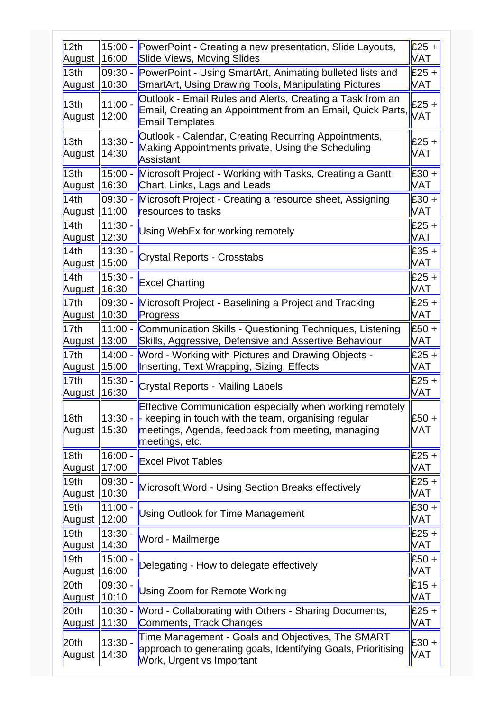| 12 <sub>th</sub>           | 15:00 -                                                                                                                                    | PowerPoint - Creating a new presentation, Slide Layouts,                                                                                                                              |                       |
|----------------------------|--------------------------------------------------------------------------------------------------------------------------------------------|---------------------------------------------------------------------------------------------------------------------------------------------------------------------------------------|-----------------------|
| August                     | 16:00                                                                                                                                      | <b>Slide Views, Moving Slides</b>                                                                                                                                                     |                       |
| 13 <sub>th</sub>           | 09:30 -                                                                                                                                    | PowerPoint - Using SmartArt, Animating bulleted lists and                                                                                                                             | $£25 +$               |
| August                     | 10:30                                                                                                                                      | <b>SmartArt, Using Drawing Tools, Manipulating Pictures</b>                                                                                                                           | <b>VAT</b>            |
| 13 <sub>th</sub><br>August | $11:00 -$<br>12:00                                                                                                                         | Outlook - Email Rules and Alerts, Creating a Task from an<br>Email, Creating an Appointment from an Email, Quick Parts,<br><b>Email Templates</b>                                     | £25 +<br><b>VAT</b>   |
| 13 <sub>th</sub><br>August | Outlook - Calendar, Creating Recurring Appointments,<br>13:30 -<br>Making Appointments private, Using the Scheduling<br>14:30<br>Assistant |                                                                                                                                                                                       | $£25 +$<br><b>VAT</b> |
| 13 <sub>th</sub><br>August | 15:00 -<br>16:30                                                                                                                           | Microsoft Project - Working with Tasks, Creating a Gantt<br>$£30 +$<br>Chart, Links, Lags and Leads<br><b>VAT</b>                                                                     |                       |
| 14th                       | 09:30 -                                                                                                                                    | Microsoft Project - Creating a resource sheet, Assigning                                                                                                                              | $£30 +$               |
| August                     | 11:00                                                                                                                                      | resources to tasks                                                                                                                                                                    | <b>VAT</b>            |
| 14th                       | 11:30 -                                                                                                                                    | Using WebEx for working remotely                                                                                                                                                      | $£25 +$               |
| August                     | 12:30                                                                                                                                      |                                                                                                                                                                                       | VAT                   |
| 14th                       | 13:30 -                                                                                                                                    | <b>Crystal Reports - Crosstabs</b>                                                                                                                                                    | $£35 +$               |
| August                     | 15:00                                                                                                                                      |                                                                                                                                                                                       | <b>VAT</b>            |
| 14th                       | 15:30.                                                                                                                                     | <b>Excel Charting</b>                                                                                                                                                                 | $£25 +$               |
| August                     | 16:30                                                                                                                                      |                                                                                                                                                                                       | <b>VAT</b>            |
| 17th                       | 09:30 -                                                                                                                                    | Microsoft Project - Baselining a Project and Tracking                                                                                                                                 | $£25 +$               |
| August                     | 10:30                                                                                                                                      | Progress                                                                                                                                                                              | <b>VAT</b>            |
| 17th                       | 11:00                                                                                                                                      | Communication Skills - Questioning Techniques, Listening                                                                                                                              | £50 +                 |
| August                     | 13:00                                                                                                                                      | Skills, Aggressive, Defensive and Assertive Behaviour                                                                                                                                 | <b>VAT</b>            |
| 17th                       | 14:00                                                                                                                                      | Word - Working with Pictures and Drawing Objects -                                                                                                                                    | $£25 +$               |
| August                     | 15:00                                                                                                                                      | Inserting, Text Wrapping, Sizing, Effects                                                                                                                                             | <b>VAT</b>            |
| 17th                       | 15:30                                                                                                                                      | Crystal Reports - Mailing Labels                                                                                                                                                      | $£25 +$               |
| August                     | 16:30                                                                                                                                      |                                                                                                                                                                                       | <b>VAT</b>            |
| 18th<br>August             | $13:30 -$<br>15:30                                                                                                                         | Effective Communication especially when working remotely<br>keeping in touch with the team, organising regular<br>meetings, Agenda, feedback from meeting, managing<br>meetings, etc. | £50 +<br><b>VAT</b>   |
| 18 <sub>th</sub>           | 16:00.                                                                                                                                     | <b>Excel Pivot Tables</b>                                                                                                                                                             | $£25 +$               |
| August                     | 17:00                                                                                                                                      |                                                                                                                                                                                       | <b>VAT</b>            |
| 19 <sub>th</sub>           | 09:30                                                                                                                                      | Microsoft Word - Using Section Breaks effectively                                                                                                                                     | $£25 +$               |
| August                     | 10:30                                                                                                                                      |                                                                                                                                                                                       | <b>VAT</b>            |
| 19 <sub>th</sub>           | 11:00 -                                                                                                                                    | <b>Using Outlook for Time Management</b>                                                                                                                                              | $£30 +$               |
| August                     | 12:00                                                                                                                                      |                                                                                                                                                                                       | <b>VAT</b>            |
| 19 <sub>th</sub>           | 13:30.                                                                                                                                     | <b>Word - Mailmerge</b>                                                                                                                                                               | $£25 +$               |
| August                     | 14:30                                                                                                                                      |                                                                                                                                                                                       | <b>VAT</b>            |
| 19 <sub>th</sub>           | $15:00 -$                                                                                                                                  | Delegating - How to delegate effectively                                                                                                                                              | $£50 +$               |
| August                     | 16:00                                                                                                                                      |                                                                                                                                                                                       | <b>VAT</b>            |
| 20th                       | 09:30 -                                                                                                                                    | Using Zoom for Remote Working                                                                                                                                                         | $£15 +$               |
| August                     | 10:10                                                                                                                                      |                                                                                                                                                                                       | VAT                   |
| 20th                       | 10:30 -                                                                                                                                    | Word - Collaborating with Others - Sharing Documents,                                                                                                                                 | $£25 +$               |
| August                     | 11:30                                                                                                                                      | Comments, Track Changes                                                                                                                                                               | <b>VAT</b>            |
| 20th<br>August             | $13:30 -$<br>14:30                                                                                                                         | Time Management - Goals and Objectives, The SMART<br>approach to generating goals, Identifying Goals, Prioritising<br>Work, Urgent vs Important                                       | £30 +<br><b>VAT</b>   |